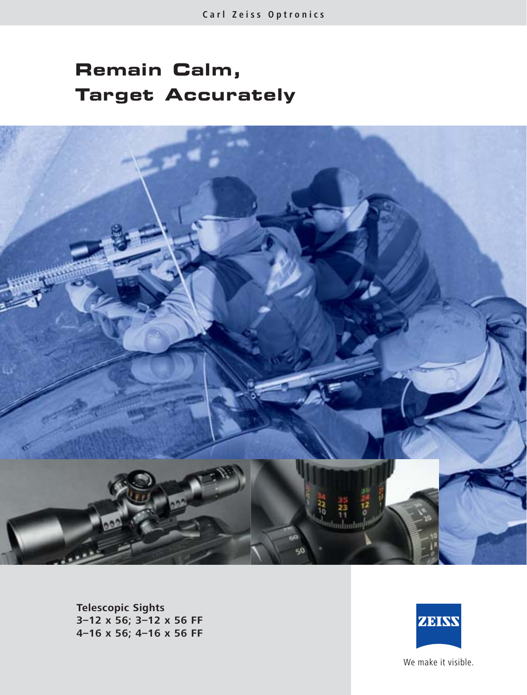# **Remain Calm, Target Accurately**



**Telescopic Sights 3–12 x 56; 3–12 x 56 FF 4–16 x 56; 4–16 x 56 FF**



We make it visible.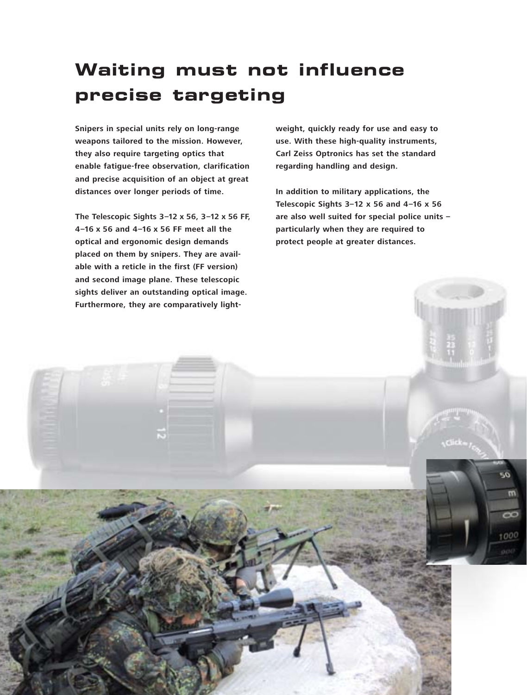## **Waiting must not influence precise targeting**

**Snipers in special units rely on long-range weapons tailored to the mission. However, they also require targeting optics that enable fatigue-free observation, clarification and precise acquisition of an object at great distances over longer periods of time.**

**The Telescopic Sights 3–12 x 56, 3–12 x 56 FF, 4–16 x 56 and 4–16 x 56 FF meet all the optical and ergonomic design demands placed on them by snipers. They are available with a reticle in the first (FF version) and second image plane. These telescopic sights deliver an outstanding optical image. Furthermore, they are comparatively light-** **weight, quickly ready for use and easy to use. With these high-quality instruments, Carl Zeiss Optronics has set the standard regarding handling and design.**

**In addition to military applications, the Telescopic Sights 3–12 x 56 and 4–16 x 56 are also well suited for special police units – particularly when they are required to protect people at greater distances.**

02

m

1000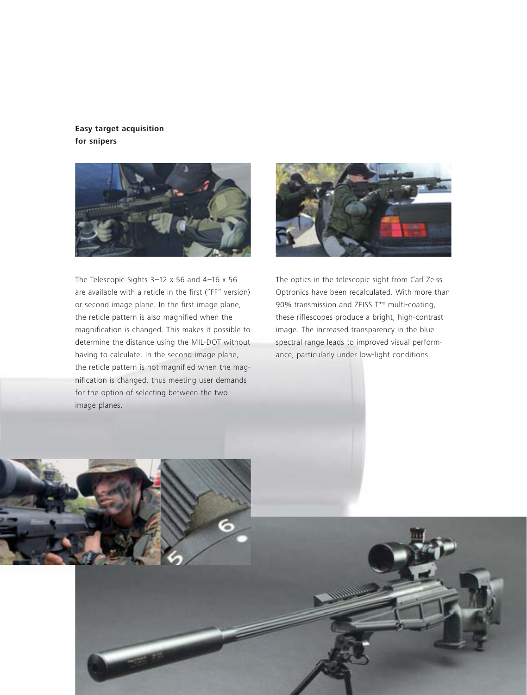### **Easy target acquisition for snipers**



The Telescopic Sights 3–12 x 56 and 4–16 x 56 are available with a reticle in the first ("FF" version) or second image plane. In the first image plane, the reticle pattern is also magnified when the magnification is changed. This makes it possible to determine the distance using the MIL-DOT without having to calculate. In the second image plane, the reticle pattern is not magnified when the magnification is changed, thus meeting user demands for the option of selecting between the two image planes.



The optics in the telescopic sight from Carl Zeiss Optronics have been recalculated. With more than 90% transmission and ZEISS T\*® multi-coating, these riflescopes produce a bright, high-contrast image. The increased transparency in the blue spectral range leads to improved visual performance, particularly under low-light conditions.

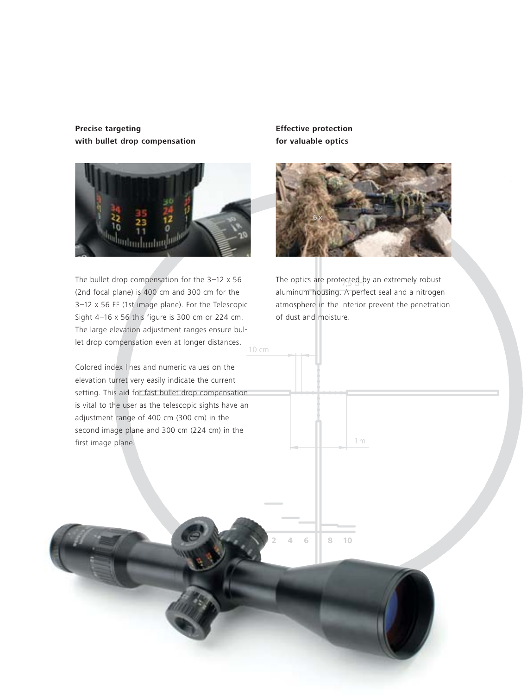## **Precise targeting with bullet drop compensation**



10 cm The bullet drop compensation for the 3–12 x 56 (2nd focal plane) is 400 cm and 300 cm for the 3–12 x 56 FF (1st image plane). For the Telescopic Sight 4–16 x 56 this figure is 300 cm or 224 cm. The large elevation adjustment ranges ensure bullet drop compensation even at longer distances.

Colored index lines and numeric values on the elevation turret very easily indicate the current setting. This aid for fast bullet drop compensation is vital to the user as the telescopic sights have an adjustment range of 400 cm (300 cm) in the second image plane and 300 cm (224 cm) in the first image plane.

**Effective protection for valuable optics**



The optics are protected by an extremely robust aluminum housing. A perfect seal and a nitrogen atmosphere in the interior prevent the penetration of dust and moisture.

1m

**2** 4 6 8 10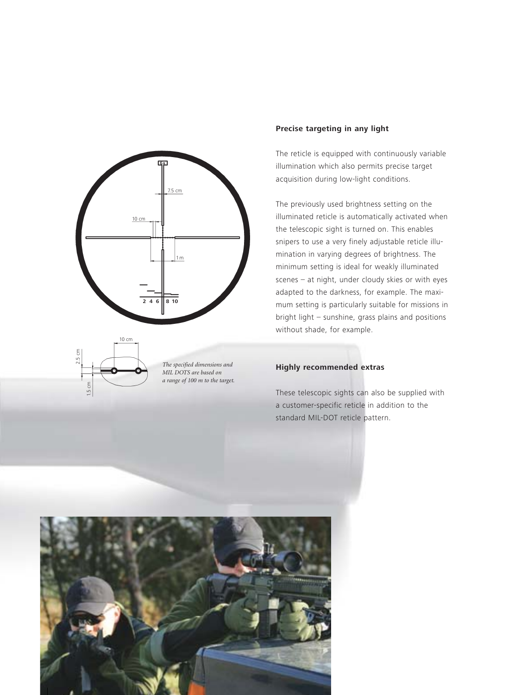



*The specified dimensions and MIL DOTS are based on a range of 100 m to the target.*

#### **Precise targeting in any light**

The reticle is equipped with continuously variable illumination which also permits precise target acquisition during low-light conditions.

The previously used brightness setting on the illuminated reticle is automatically activated when the telescopic sight is turned on. This enables snipers to use a very finely adjustable reticle illumination in varying degrees of brightness. The minimum setting is ideal for weakly illuminated scenes – at night, under cloudy skies or with eyes adapted to the darkness, for example. The maximum setting is particularly suitable for missions in bright light – sunshine, grass plains and positions without shade, for example.

#### **Highly recommended extras**

These telescopic sights can also be supplied with a customer-specific reticle in addition to the standard MIL-DOT reticle pattern.